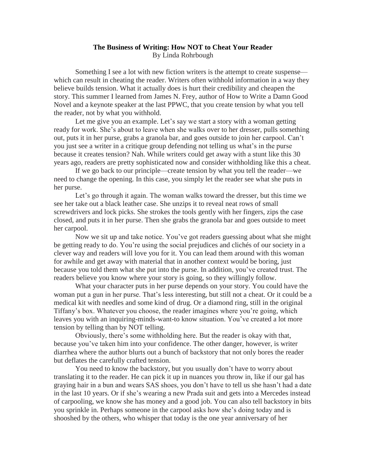## **The Business of Writing: How NOT to Cheat Your Reader** By Linda Rohrbough

Something I see a lot with new fiction writers is the attempt to create suspense which can result in cheating the reader. Writers often withhold information in a way they believe builds tension. What it actually does is hurt their credibility and cheapen the story. This summer I learned from James N. Frey, author of How to Write a Damn Good Novel and a keynote speaker at the last PPWC, that you create tension by what you tell the reader, not by what you withhold.

Let me give you an example. Let's say we start a story with a woman getting ready for work. She's about to leave when she walks over to her dresser, pulls something out, puts it in her purse, grabs a granola bar, and goes outside to join her carpool. Can't you just see a writer in a critique group defending not telling us what's in the purse because it creates tension? Nah. While writers could get away with a stunt like this 30 years ago, readers are pretty sophisticated now and consider withholding like this a cheat.

If we go back to our principle—create tension by what you tell the reader—we need to change the opening. In this case, you simply let the reader see what she puts in her purse.

Let's go through it again. The woman walks toward the dresser, but this time we see her take out a black leather case. She unzips it to reveal neat rows of small screwdrivers and lock picks. She strokes the tools gently with her fingers, zips the case closed, and puts it in her purse. Then she grabs the granola bar and goes outside to meet her carpool.

Now we sit up and take notice. You've got readers guessing about what she might be getting ready to do. You're using the social prejudices and clichés of our society in a clever way and readers will love you for it. You can lead them around with this woman for awhile and get away with material that in another context would be boring, just because you told them what she put into the purse. In addition, you've created trust. The readers believe you know where your story is going, so they willingly follow.

What your character puts in her purse depends on your story. You could have the woman put a gun in her purse. That's less interesting, but still not a cheat. Or it could be a medical kit with needles and some kind of drug. Or a diamond ring, still in the original Tiffany's box. Whatever you choose, the reader imagines where you're going, which leaves you with an inquiring-minds-want-to know situation. You've created a lot more tension by telling than by NOT telling.

Obviously, there's some withholding here. But the reader is okay with that, because you've taken him into your confidence. The other danger, however, is writer diarrhea where the author blurts out a bunch of backstory that not only bores the reader but deflates the carefully crafted tension.

You need to know the backstory, but you usually don't have to worry about translating it to the reader. He can pick it up in nuances you throw in, like if our gal has graying hair in a bun and wears SAS shoes, you don't have to tell us she hasn't had a date in the last 10 years. Or if she's wearing a new Prada suit and gets into a Mercedes instead of carpooling, we know she has money and a good job. You can also tell backstory in bits you sprinkle in. Perhaps someone in the carpool asks how she's doing today and is shooshed by the others, who whisper that today is the one year anniversary of her